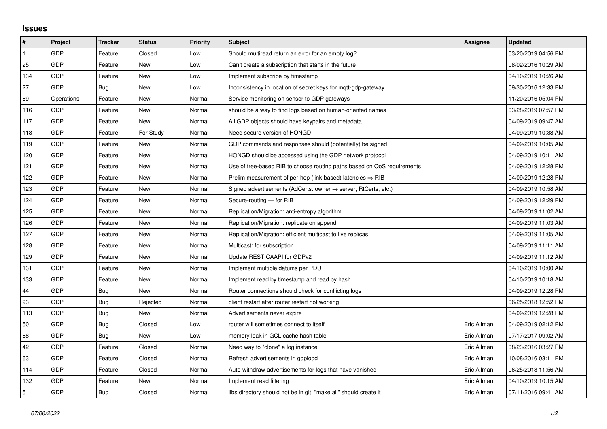## **Issues**

| $\vert$ #      | Project    | <b>Tracker</b> | <b>Status</b> | <b>Priority</b> | <b>Subject</b>                                                          | Assignee    | <b>Updated</b>      |
|----------------|------------|----------------|---------------|-----------------|-------------------------------------------------------------------------|-------------|---------------------|
| $\mathbf{1}$   | GDP        | Feature        | Closed        | Low             | Should multiread return an error for an empty log?                      |             | 03/20/2019 04:56 PM |
| 25             | GDP        | Feature        | New           | Low             | Can't create a subscription that starts in the future                   |             | 08/02/2016 10:29 AM |
| 134            | GDP        | Feature        | New           | Low             | Implement subscribe by timestamp                                        |             | 04/10/2019 10:26 AM |
| 27             | GDP        | Bug            | <b>New</b>    | Low             | Inconsistency in location of secret keys for mgtt-gdp-gateway           |             | 09/30/2016 12:33 PM |
| 89             | Operations | Feature        | New           | Normal          | Service monitoring on sensor to GDP gateways                            |             | 11/20/2016 05:04 PM |
| 116            | GDP        | Feature        | New           | Normal          | should be a way to find logs based on human-oriented names              |             | 03/28/2019 07:57 PM |
| 117            | GDP        | Feature        | <b>New</b>    | Normal          | All GDP objects should have keypairs and metadata                       |             | 04/09/2019 09:47 AM |
| 118            | GDP        | Feature        | For Study     | Normal          | Need secure version of HONGD                                            |             | 04/09/2019 10:38 AM |
| 119            | GDP        | Feature        | New           | Normal          | GDP commands and responses should (potentially) be signed               |             | 04/09/2019 10:05 AM |
| 120            | GDP        | Feature        | <b>New</b>    | Normal          | HONGD should be accessed using the GDP network protocol                 |             | 04/09/2019 10:11 AM |
| 121            | GDP        | Feature        | New           | Normal          | Use of tree-based RIB to choose routing paths based on QoS requirements |             | 04/09/2019 12:28 PM |
| 122            | GDP        | Feature        | New           | Normal          | Prelim measurement of per-hop (link-based) latencies $\Rightarrow$ RIB  |             | 04/09/2019 12:28 PM |
| 123            | GDP        | Feature        | <b>New</b>    | Normal          | Signed advertisements (AdCerts: owner → server, RtCerts, etc.)          |             | 04/09/2019 10:58 AM |
| 124            | GDP        | Feature        | New           | Normal          | Secure-routing - for RIB                                                |             | 04/09/2019 12:29 PM |
| 125            | GDP        | Feature        | New           | Normal          | Replication/Migration: anti-entropy algorithm                           |             | 04/09/2019 11:02 AM |
| 126            | GDP        | Feature        | New           | Normal          | Replication/Migration: replicate on append                              |             | 04/09/2019 11:03 AM |
| 127            | GDP        | Feature        | New           | Normal          | Replication/Migration: efficient multicast to live replicas             |             | 04/09/2019 11:05 AM |
| 128            | GDP        | Feature        | New           | Normal          | Multicast: for subscription                                             |             | 04/09/2019 11:11 AM |
| 129            | GDP        | Feature        | <b>New</b>    | Normal          | Update REST CAAPI for GDPv2                                             |             | 04/09/2019 11:12 AM |
| 131            | GDP        | Feature        | New           | Normal          | Implement multiple datums per PDU                                       |             | 04/10/2019 10:00 AM |
| 133            | GDP        | Feature        | New           | Normal          | Implement read by timestamp and read by hash                            |             | 04/10/2019 10:18 AM |
| 44             | GDP        | Bug            | <b>New</b>    | Normal          | Router connections should check for conflicting logs                    |             | 04/09/2019 12:28 PM |
| 93             | GDP        | Bug            | Rejected      | Normal          | client restart after router restart not working                         |             | 06/25/2018 12:52 PM |
| 113            | GDP        | Bug            | <b>New</b>    | Normal          | Advertisements never expire                                             |             | 04/09/2019 12:28 PM |
| 50             | GDP        | Bug            | Closed        | Low             | router will sometimes connect to itself                                 | Eric Allman | 04/09/2019 02:12 PM |
| 88             | GDP        | Bug            | New           | Low             | memory leak in GCL cache hash table                                     | Eric Allman | 07/17/2017 09:02 AM |
| 42             | GDP        | Feature        | Closed        | Normal          | Need way to "clone" a log instance                                      | Eric Allman | 08/23/2016 03:27 PM |
| 63             | GDP        | Feature        | Closed        | Normal          | Refresh advertisements in gdplogd                                       | Eric Allman | 10/08/2016 03:11 PM |
| 114            | GDP        | Feature        | Closed        | Normal          | Auto-withdraw advertisements for logs that have vanished                | Eric Allman | 06/25/2018 11:56 AM |
| 132            | GDP        | Feature        | New           | Normal          | Implement read filtering                                                | Eric Allman | 04/10/2019 10:15 AM |
| $\overline{5}$ | GDP        | Bug            | Closed        | Normal          | libs directory should not be in git; "make all" should create it        | Eric Allman | 07/11/2016 09:41 AM |